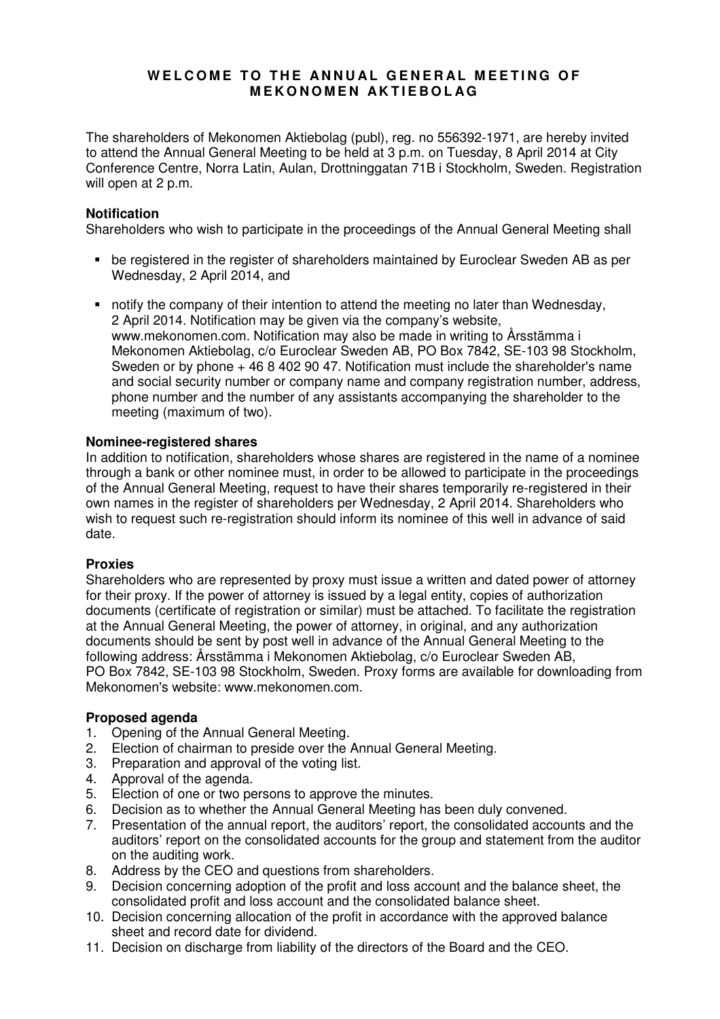# WELCOME TO THE ANNUAL GENERAL MEETING OF **M E K O N O M E N A K T I E B O L A G**

The shareholders of Mekonomen Aktiebolag (publ), reg. no 556392-1971, are hereby invited to attend the Annual General Meeting to be held at 3 p.m. on Tuesday, 8 April 2014 at City Conference Centre, Norra Latin, Aulan, Drottninggatan 71B i Stockholm, Sweden. Registration will open at 2 p.m.

# **Notification**

Shareholders who wish to participate in the proceedings of the Annual General Meeting shall

- be registered in the register of shareholders maintained by Euroclear Sweden AB as per Wednesday, 2 April 2014, and
- notify the company of their intention to attend the meeting no later than Wednesday, 2 April 2014. Notification may be given via the company's website, www.mekonomen.com. Notification may also be made in writing to Årsstämma i Mekonomen Aktiebolag, c/o Euroclear Sweden AB, PO Box 7842, SE-103 98 Stockholm, Sweden or by phone  $+4684029047$ . Notification must include the shareholder's name and social security number or company name and company registration number, address, phone number and the number of any assistants accompanying the shareholder to the meeting (maximum of two).

# **Nominee-registered shares**

In addition to notification, shareholders whose shares are registered in the name of a nominee through a bank or other nominee must, in order to be allowed to participate in the proceedings of the Annual General Meeting, request to have their shares temporarily re-registered in their own names in the register of shareholders per Wednesday, 2 April 2014. Shareholders who wish to request such re-registration should inform its nominee of this well in advance of said date.

# **Proxies**

Shareholders who are represented by proxy must issue a written and dated power of attorney for their proxy. If the power of attorney is issued by a legal entity, copies of authorization documents (certificate of registration or similar) must be attached. To facilitate the registration at the Annual General Meeting, the power of attorney, in original, and any authorization documents should be sent by post well in advance of the Annual General Meeting to the following address: Årsstämma i Mekonomen Aktiebolag, c/o Euroclear Sweden AB, PO Box 7842, SE-103 98 Stockholm, Sweden. Proxy forms are available for downloading from Mekonomen's website: www.mekonomen.com.

# **Proposed agenda**

- 1. Opening of the Annual General Meeting.
- 2. Election of chairman to preside over the Annual General Meeting.
- 3. Preparation and approval of the voting list.
- 4. Approval of the agenda.
- 5. Election of one or two persons to approve the minutes.
- 6. Decision as to whether the Annual General Meeting has been duly convened.
- 7. Presentation of the annual report, the auditors' report, the consolidated accounts and the auditors' report on the consolidated accounts for the group and statement from the auditor on the auditing work.
- 8. Address by the CEO and questions from shareholders.
- 9. Decision concerning adoption of the profit and loss account and the balance sheet, the consolidated profit and loss account and the consolidated balance sheet.
- 10. Decision concerning allocation of the profit in accordance with the approved balance sheet and record date for dividend.
- 11. Decision on discharge from liability of the directors of the Board and the CEO.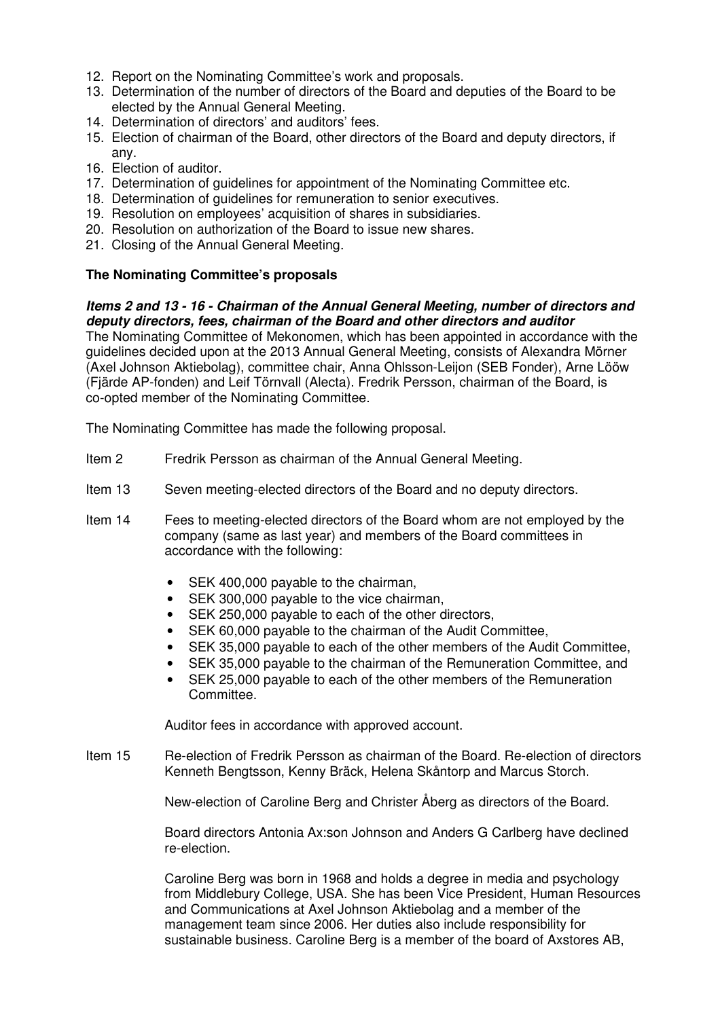- 12. Report on the Nominating Committee's work and proposals.
- 13. Determination of the number of directors of the Board and deputies of the Board to be elected by the Annual General Meeting.
- 14. Determination of directors' and auditors' fees.
- 15. Election of chairman of the Board, other directors of the Board and deputy directors, if any.
- 16. Election of auditor.
- 17. Determination of quidelines for appointment of the Nominating Committee etc.
- 18. Determination of guidelines for remuneration to senior executives.
- 19. Resolution on employees' acquisition of shares in subsidiaries.
- 20. Resolution on authorization of the Board to issue new shares.
- 21. Closing of the Annual General Meeting.

# **The Nominating Committee's proposals**

#### **Items 2 and 13 - 16 - Chairman of the Annual General Meeting, number of directors and deputy directors, fees, chairman of the Board and other directors and auditor**

The Nominating Committee of Mekonomen, which has been appointed in accordance with the guidelines decided upon at the 2013 Annual General Meeting, consists of Alexandra Mörner (Axel Johnson Aktiebolag), committee chair, Anna Ohlsson-Leijon (SEB Fonder), Arne Lööw (Fjärde AP-fonden) and Leif Törnvall (Alecta). Fredrik Persson, chairman of the Board, is co-opted member of the Nominating Committee.

The Nominating Committee has made the following proposal.

- Item 2 Fredrik Persson as chairman of the Annual General Meeting.
- Item 13 Seven meeting-elected directors of the Board and no deputy directors.
- Item 14 Fees to meeting-elected directors of the Board whom are not employed by the company (same as last year) and members of the Board committees in accordance with the following:
	- SEK 400,000 payable to the chairman,
	- SEK 300,000 payable to the vice chairman,
	- SEK 250,000 payable to each of the other directors,
	- SEK 60,000 payable to the chairman of the Audit Committee,
	- SEK 35,000 payable to each of the other members of the Audit Committee,
	- SEK 35,000 payable to the chairman of the Remuneration Committee, and
	- SEK 25.000 payable to each of the other members of the Remuneration Committee.

Auditor fees in accordance with approved account.

Item 15 Re-election of Fredrik Persson as chairman of the Board. Re-election of directors Kenneth Bengtsson, Kenny Bräck, Helena Skåntorp and Marcus Storch.

New-election of Caroline Berg and Christer Åberg as directors of the Board.

 Board directors Antonia Ax:son Johnson and Anders G Carlberg have declined re-election.

Caroline Berg was born in 1968 and holds a degree in media and psychology from Middlebury College, USA. She has been Vice President, Human Resources and Communications at Axel Johnson Aktiebolag and a member of the management team since 2006. Her duties also include responsibility for sustainable business. Caroline Berg is a member of the board of Axstores AB,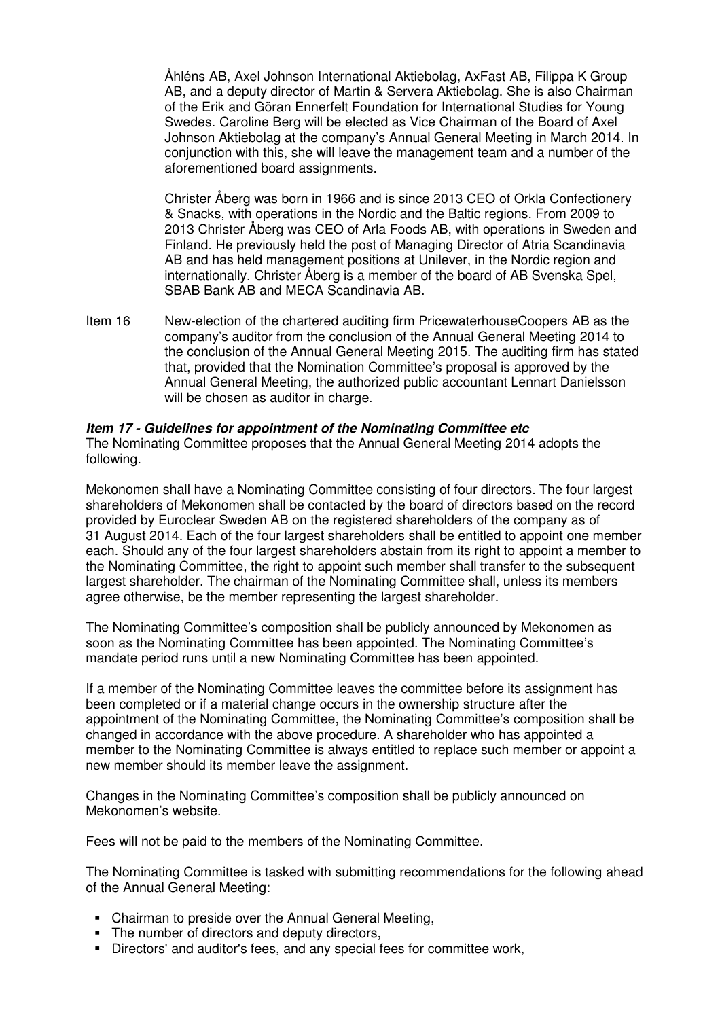Åhléns AB, Axel Johnson International Aktiebolag, AxFast AB, Filippa K Group AB, and a deputy director of Martin & Servera Aktiebolag. She is also Chairman of the Erik and Göran Ennerfelt Foundation for International Studies for Young Swedes. Caroline Berg will be elected as Vice Chairman of the Board of Axel Johnson Aktiebolag at the company's Annual General Meeting in March 2014. In conjunction with this, she will leave the management team and a number of the aforementioned board assignments.

Christer Åberg was born in 1966 and is since 2013 CEO of Orkla Confectionery & Snacks, with operations in the Nordic and the Baltic regions. From 2009 to 2013 Christer Åberg was CEO of Arla Foods AB, with operations in Sweden and Finland. He previously held the post of Managing Director of Atria Scandinavia AB and has held management positions at Unilever, in the Nordic region and internationally. Christer Åberg is a member of the board of AB Svenska Spel, SBAB Bank AB and MECA Scandinavia AB.

Item 16 New-election of the chartered auditing firm PricewaterhouseCoopers AB as the company's auditor from the conclusion of the Annual General Meeting 2014 to the conclusion of the Annual General Meeting 2015. The auditing firm has stated that, provided that the Nomination Committee's proposal is approved by the Annual General Meeting, the authorized public accountant Lennart Danielsson will be chosen as auditor in charge.

#### **Item 17 - Guidelines for appointment of the Nominating Committee etc**

The Nominating Committee proposes that the Annual General Meeting 2014 adopts the following.

Mekonomen shall have a Nominating Committee consisting of four directors. The four largest shareholders of Mekonomen shall be contacted by the board of directors based on the record provided by Euroclear Sweden AB on the registered shareholders of the company as of 31 August 2014. Each of the four largest shareholders shall be entitled to appoint one member each. Should any of the four largest shareholders abstain from its right to appoint a member to the Nominating Committee, the right to appoint such member shall transfer to the subsequent largest shareholder. The chairman of the Nominating Committee shall, unless its members agree otherwise, be the member representing the largest shareholder.

The Nominating Committee's composition shall be publicly announced by Mekonomen as soon as the Nominating Committee has been appointed. The Nominating Committee's mandate period runs until a new Nominating Committee has been appointed.

If a member of the Nominating Committee leaves the committee before its assignment has been completed or if a material change occurs in the ownership structure after the appointment of the Nominating Committee, the Nominating Committee's composition shall be changed in accordance with the above procedure. A shareholder who has appointed a member to the Nominating Committee is always entitled to replace such member or appoint a new member should its member leave the assignment.

Changes in the Nominating Committee's composition shall be publicly announced on Mekonomen's website.

Fees will not be paid to the members of the Nominating Committee.

The Nominating Committee is tasked with submitting recommendations for the following ahead of the Annual General Meeting:

- Chairman to preside over the Annual General Meeting,
- The number of directors and deputy directors,
- Directors' and auditor's fees, and any special fees for committee work,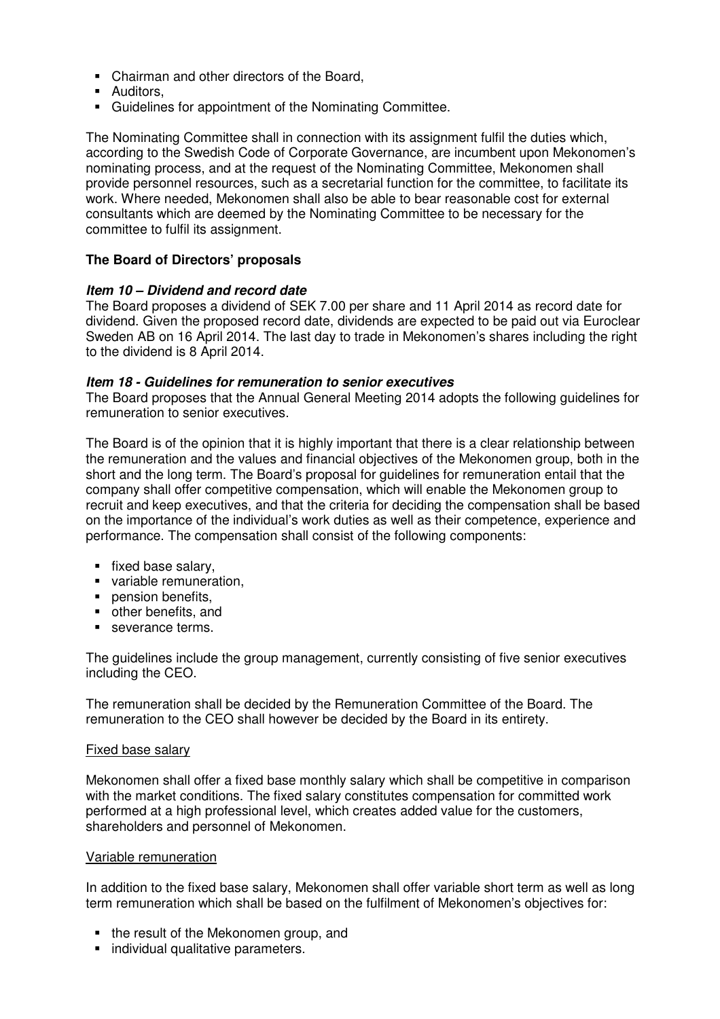- Chairman and other directors of the Board,
- **Auditors.**
- Guidelines for appointment of the Nominating Committee.

The Nominating Committee shall in connection with its assignment fulfil the duties which, according to the Swedish Code of Corporate Governance, are incumbent upon Mekonomen's nominating process, and at the request of the Nominating Committee, Mekonomen shall provide personnel resources, such as a secretarial function for the committee, to facilitate its work. Where needed, Mekonomen shall also be able to bear reasonable cost for external consultants which are deemed by the Nominating Committee to be necessary for the committee to fulfil its assignment.

# **The Board of Directors' proposals**

# **Item 10 – Dividend and record date**

The Board proposes a dividend of SEK 7.00 per share and 11 April 2014 as record date for dividend. Given the proposed record date, dividends are expected to be paid out via Euroclear Sweden AB on 16 April 2014. The last day to trade in Mekonomen's shares including the right to the dividend is 8 April 2014.

#### **Item 18 - Guidelines for remuneration to senior executives**

The Board proposes that the Annual General Meeting 2014 adopts the following guidelines for remuneration to senior executives.

The Board is of the opinion that it is highly important that there is a clear relationship between the remuneration and the values and financial objectives of the Mekonomen group, both in the short and the long term. The Board's proposal for guidelines for remuneration entail that the company shall offer competitive compensation, which will enable the Mekonomen group to recruit and keep executives, and that the criteria for deciding the compensation shall be based on the importance of the individual's work duties as well as their competence, experience and performance. The compensation shall consist of the following components:

- **fixed base salary,**
- variable remuneration.
- **pension benefits,**
- other benefits, and
- severance terms.

The guidelines include the group management, currently consisting of five senior executives including the CEO.

The remuneration shall be decided by the Remuneration Committee of the Board. The remuneration to the CEO shall however be decided by the Board in its entirety.

# Fixed base salary

Mekonomen shall offer a fixed base monthly salary which shall be competitive in comparison with the market conditions. The fixed salary constitutes compensation for committed work performed at a high professional level, which creates added value for the customers, shareholders and personnel of Mekonomen.

# Variable remuneration

In addition to the fixed base salary, Mekonomen shall offer variable short term as well as long term remuneration which shall be based on the fulfilment of Mekonomen's objectives for:

- the result of the Mekonomen group, and
- **Individual qualitative parameters.**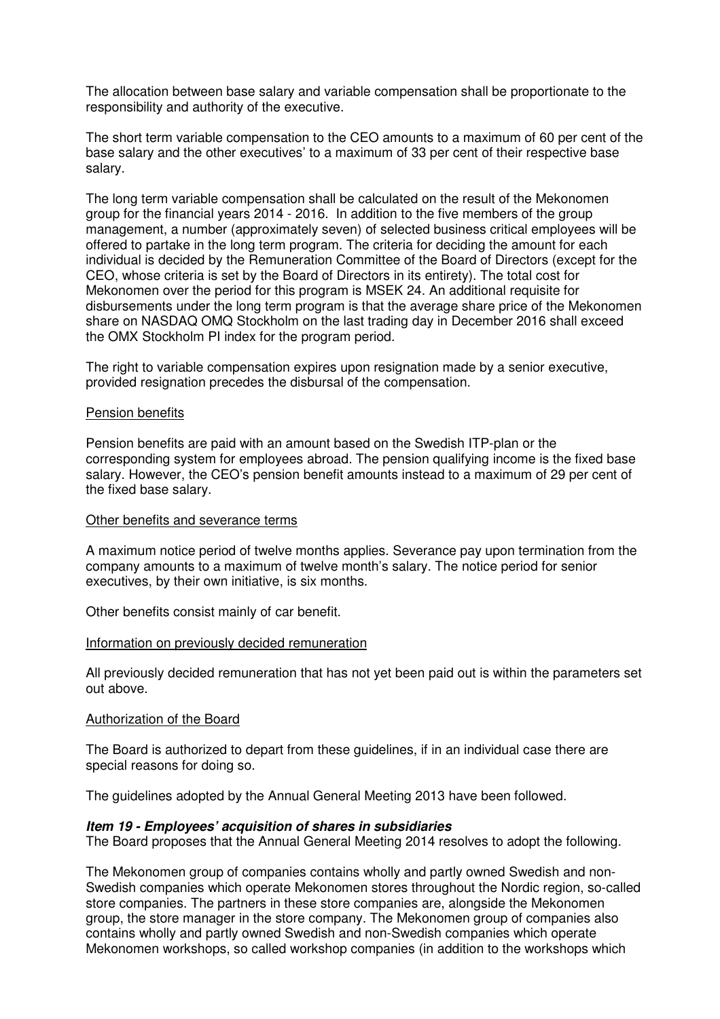The allocation between base salary and variable compensation shall be proportionate to the responsibility and authority of the executive.

The short term variable compensation to the CEO amounts to a maximum of 60 per cent of the base salary and the other executives' to a maximum of 33 per cent of their respective base salary.

The long term variable compensation shall be calculated on the result of the Mekonomen group for the financial years 2014 - 2016. In addition to the five members of the group management, a number (approximately seven) of selected business critical employees will be offered to partake in the long term program. The criteria for deciding the amount for each individual is decided by the Remuneration Committee of the Board of Directors (except for the CEO, whose criteria is set by the Board of Directors in its entirety). The total cost for Mekonomen over the period for this program is MSEK 24. An additional requisite for disbursements under the long term program is that the average share price of the Mekonomen share on NASDAQ OMQ Stockholm on the last trading day in December 2016 shall exceed the OMX Stockholm PI index for the program period.

The right to variable compensation expires upon resignation made by a senior executive, provided resignation precedes the disbursal of the compensation.

#### Pension benefits

Pension benefits are paid with an amount based on the Swedish ITP-plan or the corresponding system for employees abroad. The pension qualifying income is the fixed base salary. However, the CEO's pension benefit amounts instead to a maximum of 29 per cent of the fixed base salary.

#### Other benefits and severance terms

A maximum notice period of twelve months applies. Severance pay upon termination from the company amounts to a maximum of twelve month's salary. The notice period for senior executives, by their own initiative, is six months.

Other benefits consist mainly of car benefit.

#### Information on previously decided remuneration

All previously decided remuneration that has not yet been paid out is within the parameters set out above.

#### Authorization of the Board

The Board is authorized to depart from these guidelines, if in an individual case there are special reasons for doing so.

The guidelines adopted by the Annual General Meeting 2013 have been followed.

#### **Item 19 - Employees' acquisition of shares in subsidiaries**

The Board proposes that the Annual General Meeting 2014 resolves to adopt the following.

The Mekonomen group of companies contains wholly and partly owned Swedish and non-Swedish companies which operate Mekonomen stores throughout the Nordic region, so-called store companies. The partners in these store companies are, alongside the Mekonomen group, the store manager in the store company. The Mekonomen group of companies also contains wholly and partly owned Swedish and non-Swedish companies which operate Mekonomen workshops, so called workshop companies (in addition to the workshops which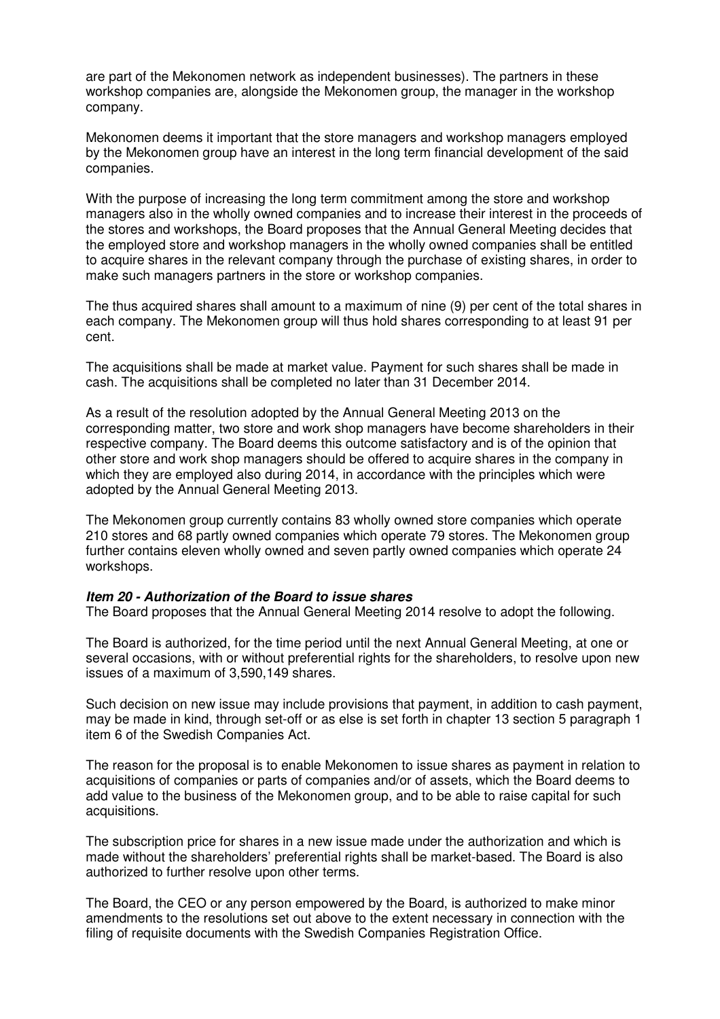are part of the Mekonomen network as independent businesses). The partners in these workshop companies are, alongside the Mekonomen group, the manager in the workshop company.

Mekonomen deems it important that the store managers and workshop managers employed by the Mekonomen group have an interest in the long term financial development of the said companies.

With the purpose of increasing the long term commitment among the store and workshop managers also in the wholly owned companies and to increase their interest in the proceeds of the stores and workshops, the Board proposes that the Annual General Meeting decides that the employed store and workshop managers in the wholly owned companies shall be entitled to acquire shares in the relevant company through the purchase of existing shares, in order to make such managers partners in the store or workshop companies.

The thus acquired shares shall amount to a maximum of nine (9) per cent of the total shares in each company. The Mekonomen group will thus hold shares corresponding to at least 91 per cent.

The acquisitions shall be made at market value. Payment for such shares shall be made in cash. The acquisitions shall be completed no later than 31 December 2014.

As a result of the resolution adopted by the Annual General Meeting 2013 on the corresponding matter, two store and work shop managers have become shareholders in their respective company. The Board deems this outcome satisfactory and is of the opinion that other store and work shop managers should be offered to acquire shares in the company in which they are employed also during 2014, in accordance with the principles which were adopted by the Annual General Meeting 2013.

The Mekonomen group currently contains 83 wholly owned store companies which operate 210 stores and 68 partly owned companies which operate 79 stores. The Mekonomen group further contains eleven wholly owned and seven partly owned companies which operate 24 workshops.

# **Item 20 - Authorization of the Board to issue shares**

The Board proposes that the Annual General Meeting 2014 resolve to adopt the following.

The Board is authorized, for the time period until the next Annual General Meeting, at one or several occasions, with or without preferential rights for the shareholders, to resolve upon new issues of a maximum of 3,590,149 shares.

Such decision on new issue may include provisions that payment, in addition to cash payment, may be made in kind, through set-off or as else is set forth in chapter 13 section 5 paragraph 1 item 6 of the Swedish Companies Act.

The reason for the proposal is to enable Mekonomen to issue shares as payment in relation to acquisitions of companies or parts of companies and/or of assets, which the Board deems to add value to the business of the Mekonomen group, and to be able to raise capital for such acquisitions.

The subscription price for shares in a new issue made under the authorization and which is made without the shareholders' preferential rights shall be market-based. The Board is also authorized to further resolve upon other terms.

The Board, the CEO or any person empowered by the Board, is authorized to make minor amendments to the resolutions set out above to the extent necessary in connection with the filing of requisite documents with the Swedish Companies Registration Office.